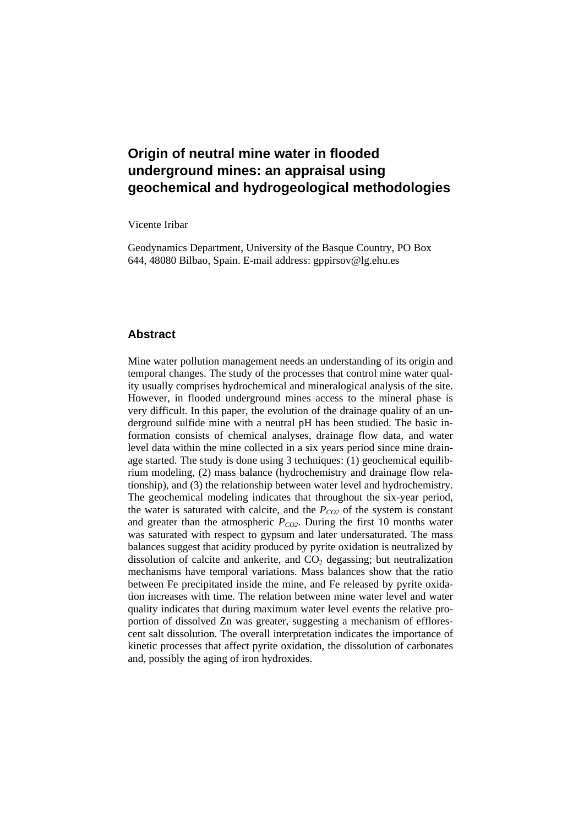# **Origin of neutral mine water in flooded underground mines: an appraisal using geochemical and hydrogeological methodologies**

Vicente Iribar

Geodynamics Department, University of the Basque Country, PO Box 644, 48080 Bilbao, Spain. E-mail address: gppirsov@lg.ehu.es

#### **Abstract**

Mine water pollution management needs an understanding of its origin and temporal changes. The study of the processes that control mine water quality usually comprises hydrochemical and mineralogical analysis of the site. However, in flooded underground mines access to the mineral phase is very difficult. In this paper, the evolution of the drainage quality of an underground sulfide mine with a neutral pH has been studied. The basic information consists of chemical analyses, drainage flow data, and water level data within the mine collected in a six years period since mine drainage started. The study is done using 3 techniques: (1) geochemical equilibrium modeling, (2) mass balance (hydrochemistry and drainage flow relationship), and (3) the relationship between water level and hydrochemistry. The geochemical modeling indicates that throughout the six-year period, the water is saturated with calcite, and the  $P_{CO2}$  of the system is constant and greater than the atmospheric  $P_{CO2}$ . During the first 10 months water was saturated with respect to gypsum and later undersaturated. The mass balances suggest that acidity produced by pyrite oxidation is neutralized by dissolution of calcite and ankerite, and  $CO<sub>2</sub>$  degassing; but neutralization mechanisms have temporal variations. Mass balances show that the ratio between Fe precipitated inside the mine, and Fe released by pyrite oxidation increases with time. The relation between mine water level and water quality indicates that during maximum water level events the relative proportion of dissolved Zn was greater, suggesting a mechanism of efflorescent salt dissolution. The overall interpretation indicates the importance of kinetic processes that affect pyrite oxidation, the dissolution of carbonates and, possibly the aging of iron hydroxides.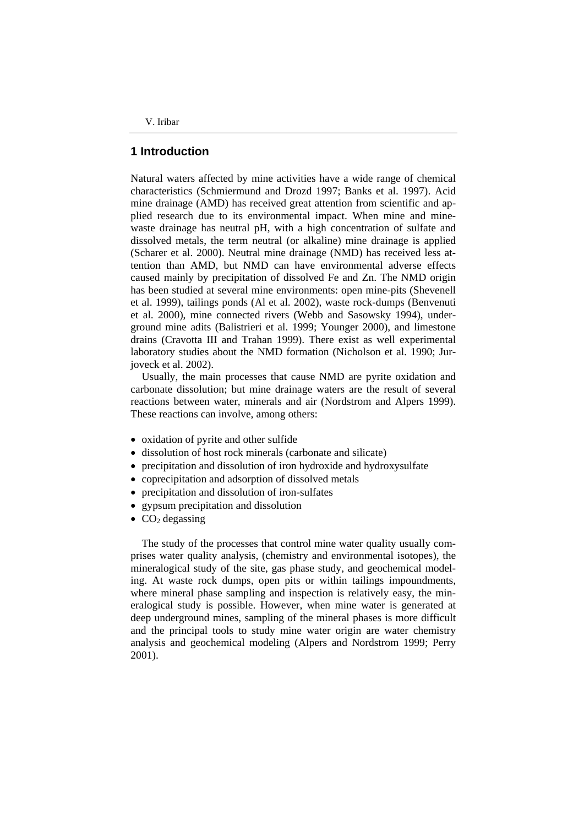## **1 Introduction**

Natural waters affected by mine activities have a wide range of chemical characteristics (Schmiermund and Drozd 1997; Banks et al. 1997). Acid mine drainage (AMD) has received great attention from scientific and applied research due to its environmental impact. When mine and minewaste drainage has neutral pH, with a high concentration of sulfate and dissolved metals, the term neutral (or alkaline) mine drainage is applied (Scharer et al. 2000). Neutral mine drainage (NMD) has received less attention than AMD, but NMD can have environmental adverse effects caused mainly by precipitation of dissolved Fe and Zn. The NMD origin has been studied at several mine environments: open mine-pits (Shevenell et al. 1999), tailings ponds (Al et al. 2002), waste rock-dumps (Benvenuti et al. 2000), mine connected rivers (Webb and Sasowsky 1994), underground mine adits (Balistrieri et al. 1999; Younger 2000), and limestone drains (Cravotta III and Trahan 1999). There exist as well experimental laboratory studies about the NMD formation (Nicholson et al. 1990; Jurjoveck et al. 2002).

Usually, the main processes that cause NMD are pyrite oxidation and carbonate dissolution; but mine drainage waters are the result of several reactions between water, minerals and air (Nordstrom and Alpers 1999). These reactions can involve, among others:

- oxidation of pyrite and other sulfide
- dissolution of host rock minerals (carbonate and silicate)
- precipitation and dissolution of iron hydroxide and hydroxysulfate
- coprecipitation and adsorption of dissolved metals
- precipitation and dissolution of iron-sulfates
- gypsum precipitation and dissolution
- $CO<sub>2</sub>$  degassing

The study of the processes that control mine water quality usually comprises water quality analysis, (chemistry and environmental isotopes), the mineralogical study of the site, gas phase study, and geochemical modeling. At waste rock dumps, open pits or within tailings impoundments, where mineral phase sampling and inspection is relatively easy, the mineralogical study is possible. However, when mine water is generated at deep underground mines, sampling of the mineral phases is more difficult and the principal tools to study mine water origin are water chemistry analysis and geochemical modeling (Alpers and Nordstrom 1999; Perry 2001).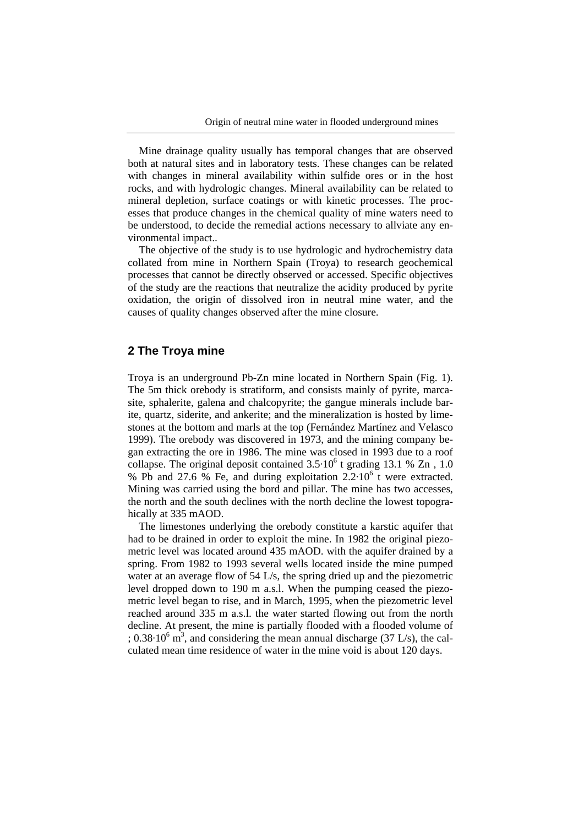Mine drainage quality usually has temporal changes that are observed both at natural sites and in laboratory tests. These changes can be related with changes in mineral availability within sulfide ores or in the host rocks, and with hydrologic changes. Mineral availability can be related to mineral depletion, surface coatings or with kinetic processes. The processes that produce changes in the chemical quality of mine waters need to be understood, to decide the remedial actions necessary to allviate any environmental impact..

The objective of the study is to use hydrologic and hydrochemistry data collated from mine in Northern Spain (Troya) to research geochemical processes that cannot be directly observed or accessed. Specific objectives of the study are the reactions that neutralize the acidity produced by pyrite oxidation, the origin of dissolved iron in neutral mine water, and the causes of quality changes observed after the mine closure.

## **2 The Troya mine**

Troya is an underground Pb-Zn mine located in Northern Spain (Fig. 1). The 5m thick orebody is stratiform, and consists mainly of pyrite, marcasite, sphalerite, galena and chalcopyrite; the gangue minerals include barite, quartz, siderite, and ankerite; and the mineralization is hosted by limestones at the bottom and marls at the top (Fernández Martínez and Velasco 1999). The orebody was discovered in 1973, and the mining company began extracting the ore in 1986. The mine was closed in 1993 due to a roof collapse. The original deposit contained  $3.5 \cdot 10^6$  t grading 13.1 % Zn, 1.0 % Pb and 27.6 % Fe, and during exploitation  $2.2 \cdot 10^6$  t were extracted. Mining was carried using the bord and pillar. The mine has two accesses, the north and the south declines with the north decline the lowest topograhically at 335 mAOD.

The limestones underlying the orebody constitute a karstic aquifer that had to be drained in order to exploit the mine. In 1982 the original piezometric level was located around 435 mAOD. with the aquifer drained by a spring. From 1982 to 1993 several wells located inside the mine pumped water at an average flow of 54 L/s, the spring dried up and the piezometric level dropped down to 190 m a.s.l. When the pumping ceased the piezometric level began to rise, and in March, 1995, when the piezometric level reached around 335 m a.s.l. the water started flowing out from the north decline. At present, the mine is partially flooded with a flooded volume of ; 0.38 $\cdot 10^6$  m<sup>3</sup>, and considering the mean annual discharge (37 L/s), the calculated mean time residence of water in the mine void is about 120 days.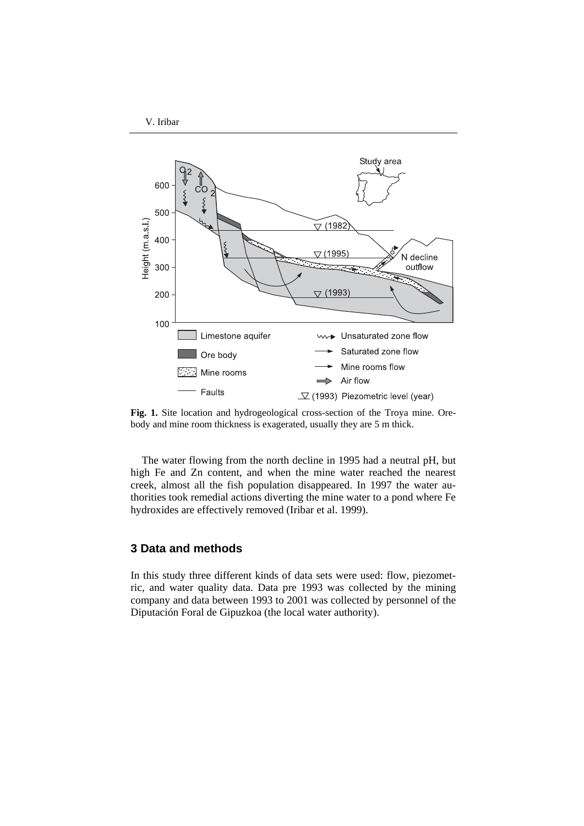

**Fig. 1.** Site location and hydrogeological cross-section of the Troya mine. Orebody and mine room thickness is exagerated, usually they are 5 m thick.

The water flowing from the north decline in 1995 had a neutral pH, but high Fe and Zn content, and when the mine water reached the nearest creek, almost all the fish population disappeared. In 1997 the water authorities took remedial actions diverting the mine water to a pond where Fe hydroxides are effectively removed (Iribar et al. 1999).

## **3 Data and methods**

In this study three different kinds of data sets were used: flow, piezometric, and water quality data. Data pre 1993 was collected by the mining company and data between 1993 to 2001 was collected by personnel of the Diputación Foral de Gipuzkoa (the local water authority).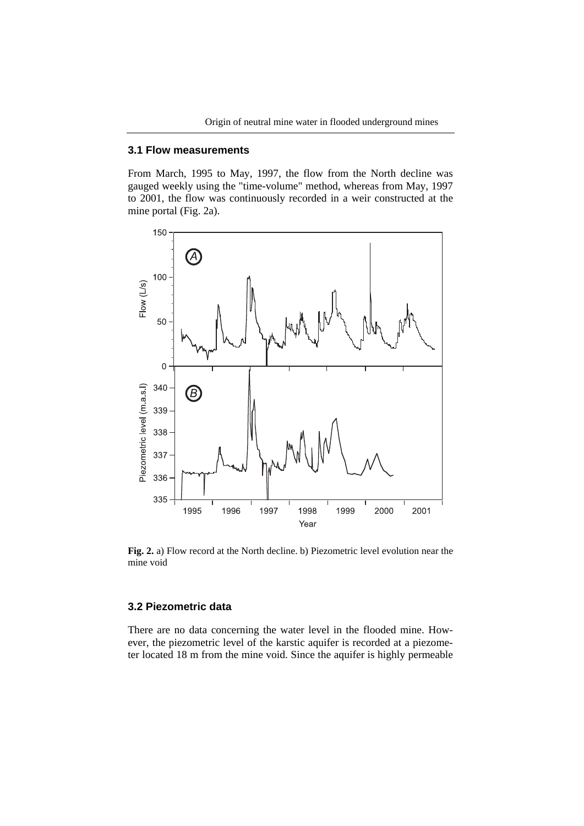#### **3.1 Flow measurements**

From March, 1995 to May, 1997, the flow from the North decline was gauged weekly using the "time-volume" method, whereas from May, 1997 to 2001, the flow was continuously recorded in a weir constructed at the mine portal (Fig. 2a).



**Fig. 2.** a) Flow record at the North decline. b) Piezometric level evolution near the mine void

# **3.2 Piezometric data**

There are no data concerning the water level in the flooded mine. However, the piezometric level of the karstic aquifer is recorded at a piezometer located 18 m from the mine void. Since the aquifer is highly permeable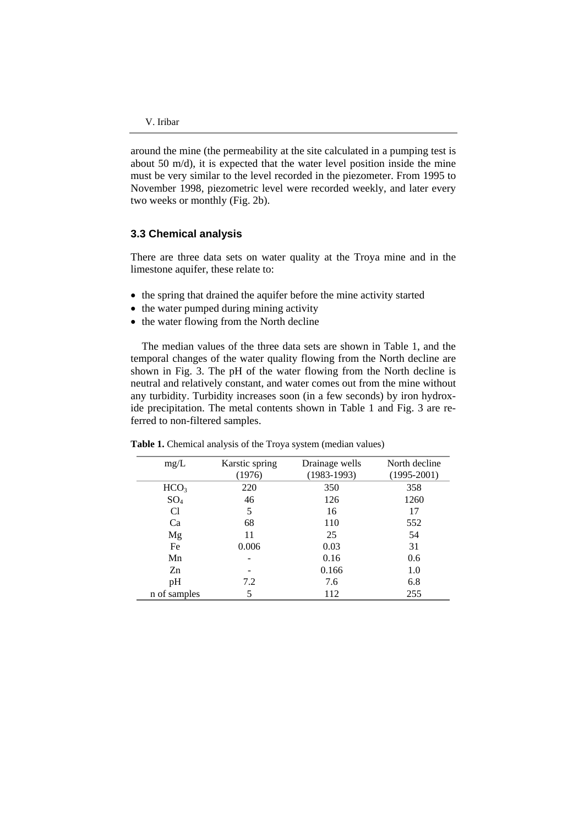around the mine (the permeability at the site calculated in a pumping test is about 50 m/d), it is expected that the water level position inside the mine must be very similar to the level recorded in the piezometer. From 1995 to November 1998, piezometric level were recorded weekly, and later every two weeks or monthly (Fig. 2b).

#### **3.3 Chemical analysis**

There are three data sets on water quality at the Troya mine and in the limestone aquifer, these relate to:

- the spring that drained the aquifer before the mine activity started
- the water pumped during mining activity
- the water flowing from the North decline

The median values of the three data sets are shown in Table 1, and the temporal changes of the water quality flowing from the North decline are shown in Fig. 3. The pH of the water flowing from the North decline is neutral and relatively constant, and water comes out from the mine without any turbidity. Turbidity increases soon (in a few seconds) by iron hydroxide precipitation. The metal contents shown in Table 1 and Fig. 3 are referred to non-filtered samples.

| mg/L             | Karstic spring | Drainage wells | North decline   |
|------------------|----------------|----------------|-----------------|
|                  | (1976)         | $(1983-1993)$  | $(1995 - 2001)$ |
| HCO <sub>3</sub> | 220            | 350            | 358             |
| $SO_4$           | 46             | 126            | 1260            |
| Cl               | 5              | 16             | 17              |
| Ca               | 68             | 110            | 552             |
| Mg               | 11             | 25             | 54              |
| Fe               | 0.006          | 0.03           | 31              |
| Mn               |                | 0.16           | 0.6             |
| Zn               |                | 0.166          | 1.0             |
| pH               | 7.2            | 7.6            | 6.8             |
| n of samples     | 5              | 112            | 255             |

**Table 1.** Chemical analysis of the Troya system (median values)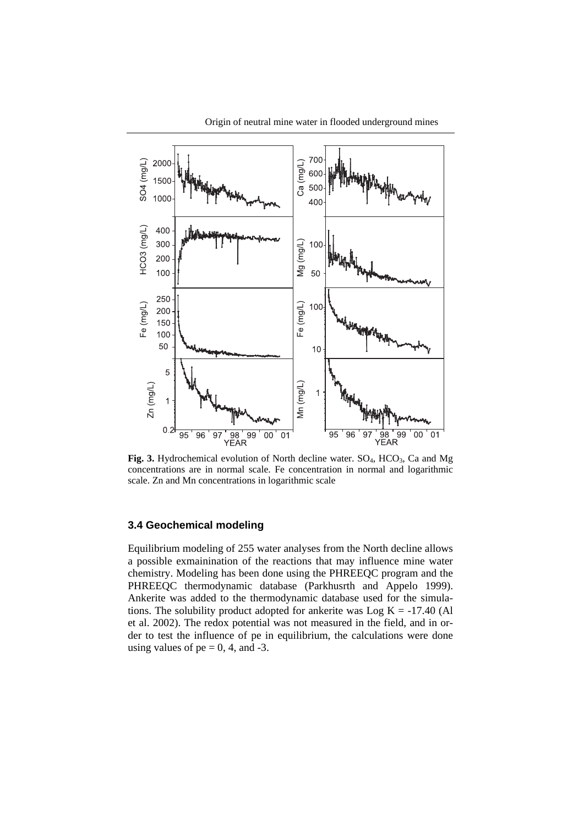

Fig. 3. Hydrochemical evolution of North decline water. SO<sub>4</sub>, HCO<sub>3</sub>, Ca and Mg concentrations are in normal scale. Fe concentration in normal and logarithmic scale. Zn and Mn concentrations in logarithmic scale

#### **3.4 Geochemical modeling**

Equilibrium modeling of 255 water analyses from the North decline allows a possible exmainination of the reactions that may influence mine water chemistry. Modeling has been done using the PHREEQC program and the PHREEQC thermodynamic database (Parkhusrth and Appelo 1999). Ankerite was added to the thermodynamic database used for the simulations. The solubility product adopted for ankerite was  $Log K = -17.40$  (Al et al. 2002). The redox potential was not measured in the field, and in order to test the influence of pe in equilibrium, the calculations were done using values of  $pe = 0$ , 4, and -3.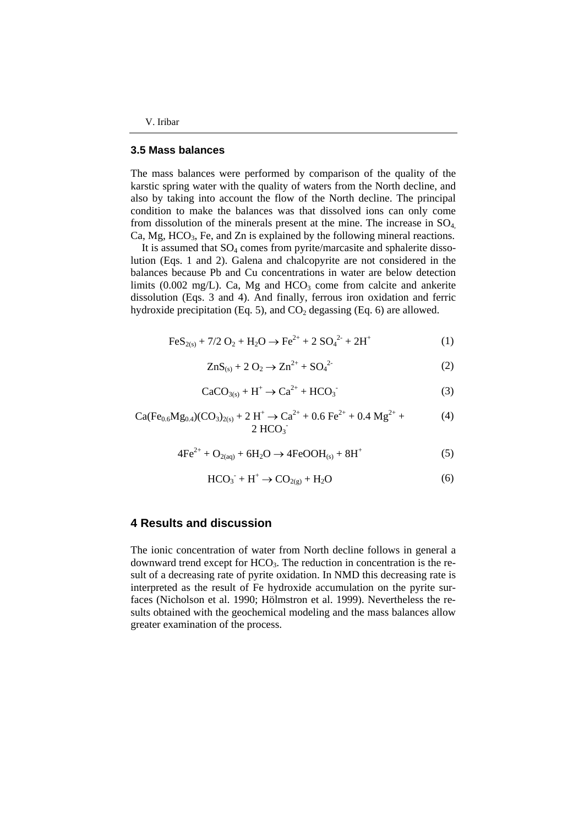#### **3.5 Mass balances**

The mass balances were performed by comparison of the quality of the karstic spring water with the quality of waters from the North decline, and also by taking into account the flow of the North decline. The principal condition to make the balances was that dissolved ions can only come from dissolution of the minerals present at the mine. The increase in  $SO_4$ Ca, Mg, HCO<sub>3</sub>, Fe, and Zn is explained by the following mineral reactions.

It is assumed that SO<sub>4</sub> comes from pyrite/marcasite and sphalerite dissolution (Eqs. 1 and 2). Galena and chalcopyrite are not considered in the balances because Pb and Cu concentrations in water are below detection limits  $(0.002 \text{ mg/L})$ . Ca, Mg and HCO<sub>3</sub> come from calcite and ankerite dissolution (Eqs. 3 and 4). And finally, ferrous iron oxidation and ferric hydroxide precipitation (Eq. 5), and  $CO<sub>2</sub>$  degassing (Eq. 6) are allowed.

$$
\text{FeS}_{2(s)} + 7/2 \text{ O}_2 + \text{H}_2\text{O} \rightarrow \text{Fe}^{2+} + 2 \text{ SO}_4^{2-} + 2\text{H}^+ \tag{1}
$$

$$
ZnS_{(s)} + 2 O_2 \to Zn^{2+} + SO_4^{2-}
$$
 (2)

$$
CaCO_{3(s)} + H^+ \rightarrow Ca^{2+} + HCO_3
$$
 (3)

$$
Ca(Fe_{0.6}Mg_{0.4})(CO_3)_{2(s)} + 2 H^+ \rightarrow Ca^{2+} + 0.6 Fe^{2+} + 0.4 Mg^{2+} +
$$
  
2 HCO<sub>3</sub><sup>-</sup>

$$
4Fe^{2+} + O_{2(aq)} + 6H_2O \rightarrow 4FeOOH_{(s)} + 8H^+ \tag{5}
$$

$$
HCO_3^- + H^+ \rightarrow CO_{2(g)} + H_2O
$$
 (6)

#### **4 Results and discussion**

The ionic concentration of water from North decline follows in general a downward trend except for HCO<sub>3</sub>. The reduction in concentration is the result of a decreasing rate of pyrite oxidation. In NMD this decreasing rate is interpreted as the result of Fe hydroxide accumulation on the pyrite surfaces (Nicholson et al. 1990; Hölmstron et al. 1999). Nevertheless the results obtained with the geochemical modeling and the mass balances allow greater examination of the process.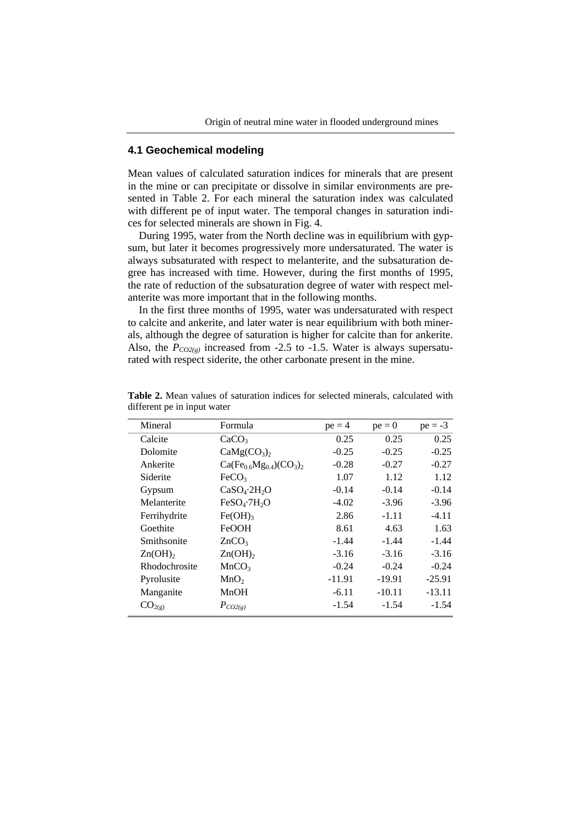## **4.1 Geochemical modeling**

Mean values of calculated saturation indices for minerals that are present in the mine or can precipitate or dissolve in similar environments are presented in Table 2. For each mineral the saturation index was calculated with different pe of input water. The temporal changes in saturation indices for selected minerals are shown in Fig. 4.

During 1995, water from the North decline was in equilibrium with gypsum, but later it becomes progressively more undersaturated. The water is always subsaturated with respect to melanterite, and the subsaturation degree has increased with time. However, during the first months of 1995, the rate of reduction of the subsaturation degree of water with respect melanterite was more important that in the following months.

In the first three months of 1995, water was undersaturated with respect to calcite and ankerite, and later water is near equilibrium with both minerals, although the degree of saturation is higher for calcite than for ankerite. Also, the  $P_{CO2(g)}$  increased from -2.5 to -1.5. Water is always supersaturated with respect siderite, the other carbonate present in the mine.

| Mineral              | Formula                              | $pe = 4$ | $pe = 0$ | $pe = -3$ |
|----------------------|--------------------------------------|----------|----------|-----------|
| Calcite              | CaCO <sub>3</sub>                    | 0.25     | 0.25     | 0.25      |
| Dolomite             | CaMg(CO <sub>3</sub> ) <sub>2</sub>  | $-0.25$  | $-0.25$  | $-0.25$   |
| Ankerite             | $Ca(Fe_{0.6}Mg_{0.4})(CO_3)_2$       | $-0.28$  | $-0.27$  | $-0.27$   |
| Siderite             | FeCO <sub>3</sub>                    | 1.07     | 1.12     | 1.12      |
| Gypsum               | CaSO <sub>4</sub> ·2H <sub>2</sub> O | $-0.14$  | $-0.14$  | $-0.14$   |
| Melanterite          | $FeSO_4$ -7H <sub>2</sub> O          | $-4.02$  | $-3.96$  | $-3.96$   |
| Ferrihydrite         | Fe(OH) <sub>3</sub>                  | 2.86     | $-1.11$  | $-4.11$   |
| Goethite             | FeOOH                                | 8.61     | 4.63     | 1.63      |
| Smithsonite          | ZnCO <sub>3</sub>                    | $-1.44$  | $-1.44$  | $-1.44$   |
| Zn(OH) <sub>2</sub>  | Zn(OH) <sub>2</sub>                  | $-3.16$  | $-3.16$  | $-3.16$   |
| Rhodochrosite        | MnCO <sub>3</sub>                    | $-0.24$  | $-0.24$  | $-0.24$   |
| Pyrolusite           | MnO <sub>2</sub>                     | $-11.91$ | $-19.91$ | $-25.91$  |
| Manganite            | MnOH                                 | $-6.11$  | $-10.11$ | $-13.11$  |
| $\mathrm{CO}_{2(g)}$ | $P_{CO2(g)}$                         | $-1.54$  | $-1.54$  | $-1.54$   |

**Table 2.** Mean values of saturation indices for selected minerals, calculated with different pe in input water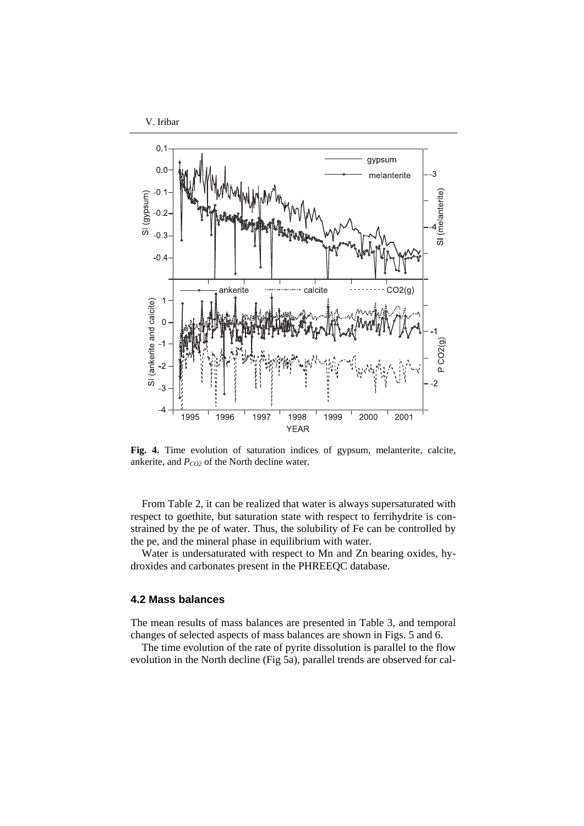

**Fig. 4.** Time evolution of saturation indices of gypsum, melanterite, calcite, ankerite, and  $P_{CO2}$  of the North decline water.

From Table 2, it can be realized that water is always supersaturated with respect to goethite, but saturation state with respect to ferrihydrite is constrained by the pe of water. Thus, the solubility of Fe can be controlled by the pe, and the mineral phase in equilibrium with water.

Water is undersaturated with respect to Mn and Zn bearing oxides, hydroxides and carbonates present in the PHREEQC database.

#### **4.2 Mass balances**

The mean results of mass balances are presented in Table 3, and temporal changes of selected aspects of mass balances are shown in Figs. 5 and 6.

The time evolution of the rate of pyrite dissolution is parallel to the flow evolution in the North decline (Fig 5a), parallel trends are observed for cal-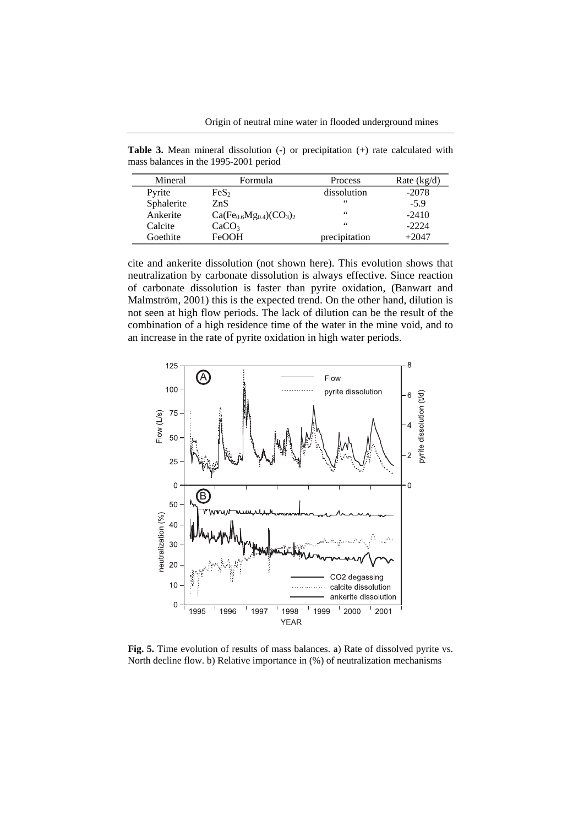**Table 3.** Mean mineral dissolution (-) or precipitation (+) rate calculated with mass balances in the 1995-2001 period

| Mineral    | <b>Formula</b>                 | Process       | Rate $(kg/d)$ |
|------------|--------------------------------|---------------|---------------|
| Pyrite     | FeS <sub>2</sub>               | dissolution   | $-2078$       |
| Sphalerite | ZnS                            | 66            | $-5.9$        |
| Ankerite   | $Ca(Fe_{0.6}Mg_{0.4})(CO_3)_2$ | 66            | $-2410$       |
| Calcite    | CaCO <sub>3</sub>              | 66            | $-2224$       |
| Goethite   | <b>FeOOH</b>                   | precipitation | $+2047$       |

cite and ankerite dissolution (not shown here). This evolution shows that neutralization by carbonate dissolution is always effective. Since reaction of carbonate dissolution is faster than pyrite oxidation, (Banwart and Malmström, 2001) this is the expected trend. On the other hand, dilution is not seen at high flow periods. The lack of dilution can be the result of the combination of a high residence time of the water in the mine void, and to an increase in the rate of pyrite oxidation in high water periods.



**Fig. 5.** Time evolution of results of mass balances. a) Rate of dissolved pyrite vs. North decline flow. b) Relative importance in (%) of neutralization mechanisms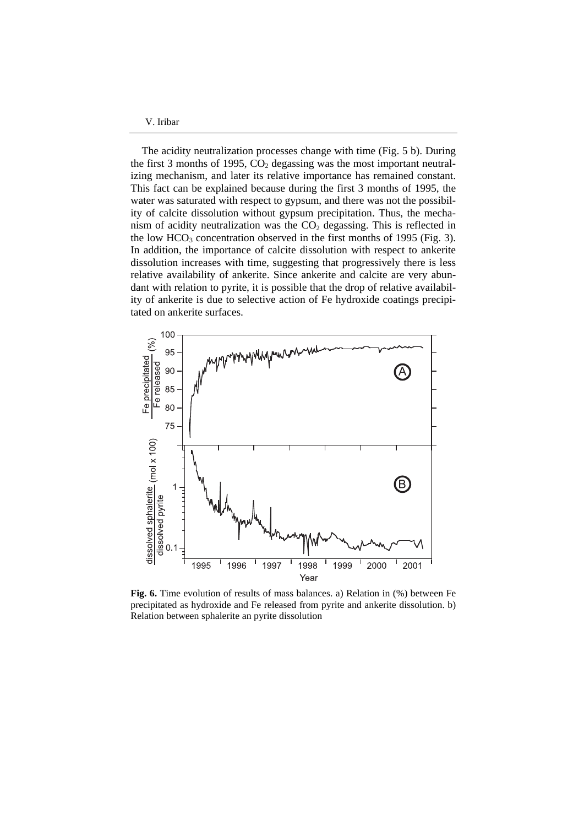V. Iribar

The acidity neutralization processes change with time (Fig. 5 b). During the first 3 months of 1995,  $CO<sub>2</sub>$  degassing was the most important neutralizing mechanism, and later its relative importance has remained constant. This fact can be explained because during the first 3 months of 1995, the water was saturated with respect to gypsum, and there was not the possibility of calcite dissolution without gypsum precipitation. Thus, the mechanism of acidity neutralization was the  $CO<sub>2</sub>$  degassing. This is reflected in the low  $HCO<sub>3</sub>$  concentration observed in the first months of 1995 (Fig. 3). In addition, the importance of calcite dissolution with respect to ankerite dissolution increases with time, suggesting that progressively there is less relative availability of ankerite. Since ankerite and calcite are very abundant with relation to pyrite, it is possible that the drop of relative availability of ankerite is due to selective action of Fe hydroxide coatings precipitated on ankerite surfaces.



**Fig. 6.** Time evolution of results of mass balances. a) Relation in (%) between Fe precipitated as hydroxide and Fe released from pyrite and ankerite dissolution. b) Relation between sphalerite an pyrite dissolution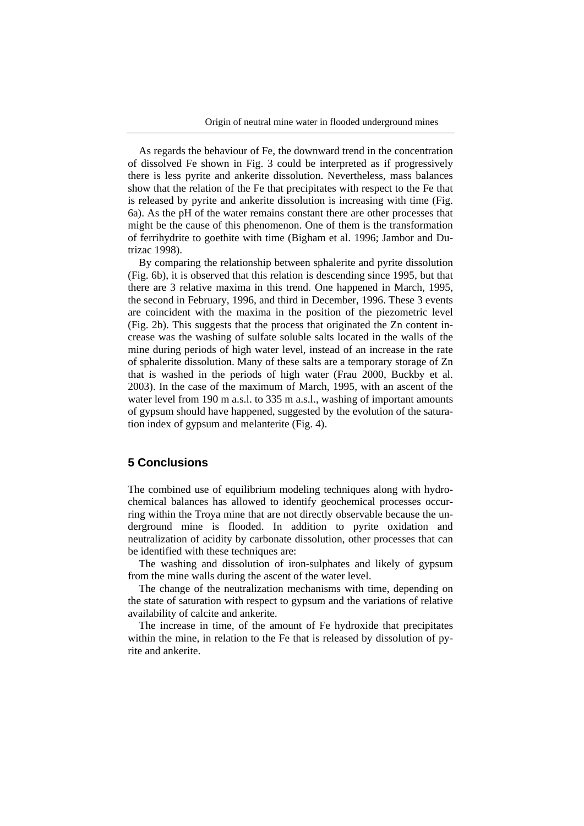As regards the behaviour of Fe, the downward trend in the concentration of dissolved Fe shown in Fig. 3 could be interpreted as if progressively there is less pyrite and ankerite dissolution. Nevertheless, mass balances show that the relation of the Fe that precipitates with respect to the Fe that is released by pyrite and ankerite dissolution is increasing with time (Fig. 6a). As the pH of the water remains constant there are other processes that might be the cause of this phenomenon. One of them is the transformation of ferrihydrite to goethite with time (Bigham et al. 1996; Jambor and Dutrizac 1998).

By comparing the relationship between sphalerite and pyrite dissolution (Fig. 6b), it is observed that this relation is descending since 1995, but that there are 3 relative maxima in this trend. One happened in March, 1995, the second in February, 1996, and third in December, 1996. These 3 events are coincident with the maxima in the position of the piezometric level (Fig. 2b). This suggests that the process that originated the Zn content increase was the washing of sulfate soluble salts located in the walls of the mine during periods of high water level, instead of an increase in the rate of sphalerite dissolution. Many of these salts are a temporary storage of Zn that is washed in the periods of high water (Frau 2000, Buckby et al. 2003). In the case of the maximum of March, 1995, with an ascent of the water level from 190 m a.s.l. to 335 m a.s.l., washing of important amounts of gypsum should have happened, suggested by the evolution of the saturation index of gypsum and melanterite (Fig. 4).

## **5 Conclusions**

The combined use of equilibrium modeling techniques along with hydrochemical balances has allowed to identify geochemical processes occurring within the Troya mine that are not directly observable because the underground mine is flooded. In addition to pyrite oxidation and neutralization of acidity by carbonate dissolution, other processes that can be identified with these techniques are:

The washing and dissolution of iron-sulphates and likely of gypsum from the mine walls during the ascent of the water level.

The change of the neutralization mechanisms with time, depending on the state of saturation with respect to gypsum and the variations of relative availability of calcite and ankerite.

The increase in time, of the amount of Fe hydroxide that precipitates within the mine, in relation to the Fe that is released by dissolution of pyrite and ankerite.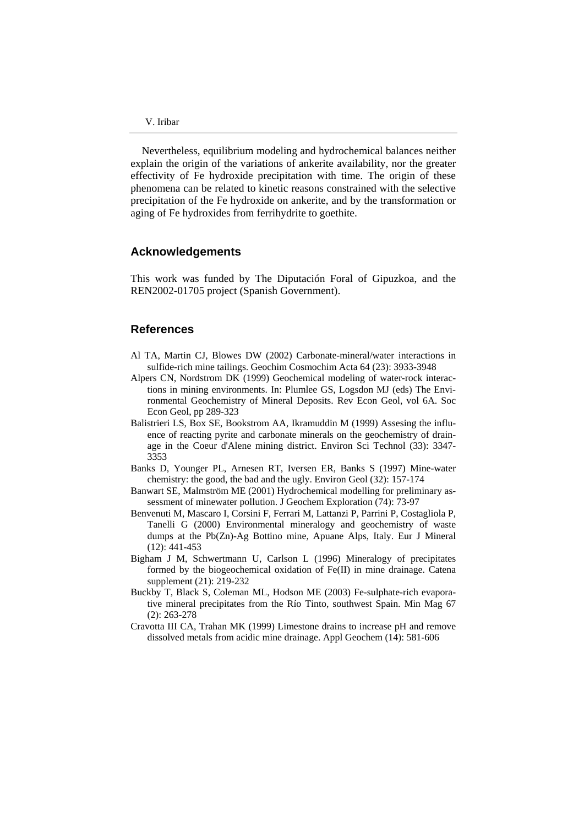Nevertheless, equilibrium modeling and hydrochemical balances neither explain the origin of the variations of ankerite availability, nor the greater effectivity of Fe hydroxide precipitation with time. The origin of these phenomena can be related to kinetic reasons constrained with the selective precipitation of the Fe hydroxide on ankerite, and by the transformation or aging of Fe hydroxides from ferrihydrite to goethite.

## **Acknowledgements**

This work was funded by The Diputación Foral of Gipuzkoa, and the REN2002-01705 project (Spanish Government).

## **References**

- Al TA, Martin CJ, Blowes DW (2002) Carbonate-mineral/water interactions in sulfide-rich mine tailings. Geochim Cosmochim Acta 64 (23): 3933-3948
- Alpers CN, Nordstrom DK (1999) Geochemical modeling of water-rock interactions in mining environments. In: Plumlee GS, Logsdon MJ (eds) The Environmental Geochemistry of Mineral Deposits. Rev Econ Geol, vol 6A. Soc Econ Geol, pp 289-323
- Balistrieri LS, Box SE, Bookstrom AA, Ikramuddin M (1999) Assesing the influence of reacting pyrite and carbonate minerals on the geochemistry of drainage in the Coeur d'Alene mining district. Environ Sci Technol (33): 3347- 3353
- Banks D, Younger PL, Arnesen RT, Iversen ER, Banks S (1997) Mine-water chemistry: the good, the bad and the ugly. Environ Geol (32): 157-174
- Banwart SE, Malmström ME (2001) Hydrochemical modelling for preliminary assessment of minewater pollution. J Geochem Exploration (74): 73-97
- Benvenuti M, Mascaro I, Corsini F, Ferrari M, Lattanzi P, Parrini P, Costagliola P, Tanelli G (2000) Environmental mineralogy and geochemistry of waste dumps at the Pb(Zn)-Ag Bottino mine, Apuane Alps, Italy. Eur J Mineral (12): 441-453
- Bigham J M, Schwertmann U, Carlson L (1996) Mineralogy of precipitates formed by the biogeochemical oxidation of Fe(II) in mine drainage. Catena supplement (21): 219-232
- Buckby T, Black S, Coleman ML, Hodson ME (2003) Fe-sulphate-rich evaporative mineral precipitates from the Río Tinto, southwest Spain. Min Mag 67 (2): 263-278
- Cravotta III CA, Trahan MK (1999) Limestone drains to increase pH and remove dissolved metals from acidic mine drainage. Appl Geochem (14): 581-606